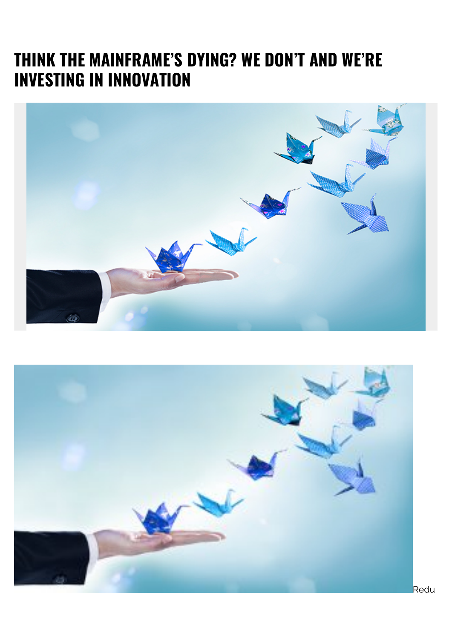## **THINK THE MAINFRAME'S DYING? WE DON'T AND WE'RE INVESTING IN INNOVATION**



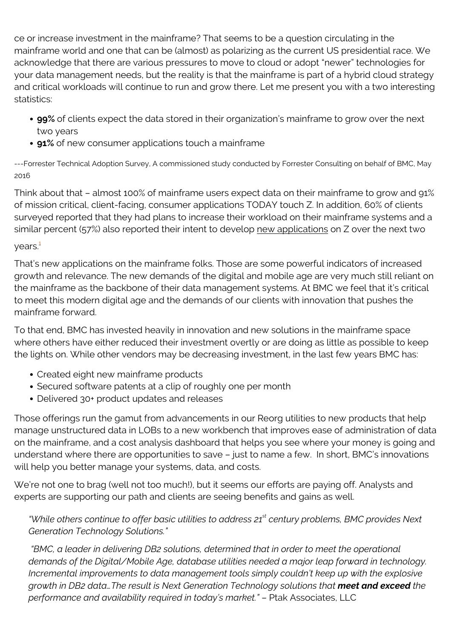ce or increase investment in the mainframe? That seems to be a question circulating in the mainframe world and one that can be (almost) as polarizing as the current US presidential race. We acknowledge that there are various pressures to move to cloud or adopt "newer" technologies for your data management needs, but the reality is that the mainframe is part of a hybrid cloud strategy and critical workloads will continue to run and grow there. Let me present you with a two interesting statistics:

- **99%** of clients expect the data stored in their organization's mainframe to grow over the next two years
- **91%** of new consumer applications touch a mainframe

---Forrester Technical Adoption Survey, A commissioned study conducted by Forrester Consulting on behalf of BMC, May 2016

Think about that – almost 100% of mainframe users expect data on their mainframe to grow and 91% of mission critical, client-facing, consumer applications TODAY touch Z. In addition, 60% of clients surveyed reported that they had plans to increase their workload on their mainframe systems and a similar percent (57%) also reported their intent to develop new applications on Z over the next two  $vears.<sup>1</sup>$  $vears.<sup>1</sup>$  $vears.<sup>1</sup>$ 

## That's new applications on the mainframe folks. Those are some powerful indicators of increased growth and relevance. The new demands of the digital and mobile age are very much still reliant on the mainframe as the backbone of their data management systems. At BMC we feel that it's critical to meet this modern digital age and the demands of our clients with innovation that pushes the mainframe forward.

To that end, BMC has invested heavily in innovation and new solutions in the mainframe space where others have either reduced their investment overtly or are doing as little as possible to keep the lights on. While other vendors may be decreasing investment, in the last few years BMC has:

- Created eight new mainframe products
- Secured software patents at a clip of roughly one per month
- Delivered 30+ product updates and releases

Those offerings run the gamut from advancements in our Reorg utilities to new products that help manage unstructured data in LOBs to a new workbench that improves ease of administration of data on the mainframe, and a cost analysis dashboard that helps you see where your money is going and understand where there are opportunities to save – just to name a few. In short, BMC's innovations will help you better manage your systems, data, and costs.

We're not one to brag (well not too much!), but it seems our efforts are paying off. Analysts and experts are supporting our path and clients are seeing benefits and gains as well.

## *"While others continue to offer basic utilities to address 21st century problems, BMC provides Next Generation Technology Solutions."*

 *"BMC, a leader in delivering DB2 solutions, determined that in order to meet the operational demands of the Digital/Mobile Age, database utilities needed a major leap forward in technology. Incremental improvements to data management tools simply couldn't keep up with the explosive growth in DB2 data...The result is Next Generation Technology solutions that meet and exceed the performance and availability required in today's market."* – Ptak Associates, LLC